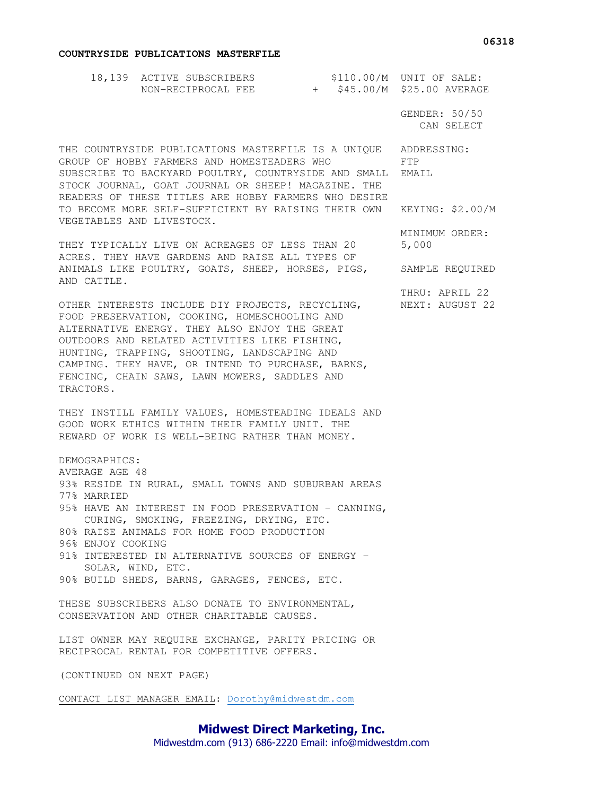## **COUNTRYSIDE PUBLICATIONS MASTERFILE**

|                                                                                                                                                                                                                                                                                                                                                                        | 18,139 ACTIVE SUBSCRIBERS    \$110.00/M    UNIT OF SALE:<br>NON-RECIPROCAL FEE    + \$45.00/M    \$25.00 AVERAGE                                         |  |  |                             |
|------------------------------------------------------------------------------------------------------------------------------------------------------------------------------------------------------------------------------------------------------------------------------------------------------------------------------------------------------------------------|----------------------------------------------------------------------------------------------------------------------------------------------------------|--|--|-----------------------------|
|                                                                                                                                                                                                                                                                                                                                                                        |                                                                                                                                                          |  |  | GENDER: 50/50<br>CAN SELECT |
| THE COUNTRYSIDE PUBLICATIONS MASTERFILE IS A UNIQUE ADDRESSING:<br>GROUP OF HOBBY FARMERS AND HOMESTEADERS WHO<br>SUBSCRIBE TO BACKYARD POULTRY, COUNTRYSIDE AND SMALL EMAIL<br>STOCK JOURNAL, GOAT JOURNAL OR SHEEP! MAGAZINE. THE<br>READERS OF THESE TITLES ARE HOBBY FARMERS WHO DESIRE                                                                            | FTP                                                                                                                                                      |  |  |                             |
| VEGETABLES AND LIVESTOCK.                                                                                                                                                                                                                                                                                                                                              | TO BECOME MORE SELF-SUFFICIENT BY RAISING THEIR OWN KEYING: \$2.00/M                                                                                     |  |  |                             |
| THEY TYPICALLY LIVE ON ACREAGES OF LESS THAN 20<br>ACRES. THEY HAVE GARDENS AND RAISE ALL TYPES OF                                                                                                                                                                                                                                                                     | MINIMUM ORDER:<br>5,000                                                                                                                                  |  |  |                             |
| ANIMALS LIKE POULTRY, GOATS, SHEEP, HORSES, PIGS,<br>AND CATTLE.                                                                                                                                                                                                                                                                                                       | SAMPLE REQUIRED                                                                                                                                          |  |  |                             |
| OTHER INTERESTS INCLUDE DIY PROJECTS, RECYCLING,<br>FOOD PRESERVATION, COOKING, HOMESCHOOLING AND<br>ALTERNATIVE ENERGY. THEY ALSO ENJOY THE GREAT<br>OUTDOORS AND RELATED ACTIVITIES LIKE FISHING,<br>HUNTING, TRAPPING, SHOOTING, LANDSCAPING AND<br>CAMPING. THEY HAVE, OR INTEND TO PURCHASE, BARNS,<br>FENCING, CHAIN SAWS, LAWN MOWERS, SADDLES AND<br>TRACTORS. | THRU: APRIL 22<br>NEXT: AUGUST 22                                                                                                                        |  |  |                             |
|                                                                                                                                                                                                                                                                                                                                                                        | THEY INSTILL FAMILY VALUES, HOMESTEADING IDEALS AND<br>GOOD WORK ETHICS WITHIN THEIR FAMILY UNIT. THE<br>REWARD OF WORK IS WELL-BEING RATHER THAN MONEY. |  |  |                             |
| DEMOGRAPHICS:<br>AVERAGE AGE 48                                                                                                                                                                                                                                                                                                                                        |                                                                                                                                                          |  |  |                             |
| 77% MARRIED                                                                                                                                                                                                                                                                                                                                                            | 93% RESIDE IN RURAL, SMALL TOWNS AND SUBURBAN AREAS<br>95% HAVE AN INTEREST IN FOOD PRESERVATION - CANNING,<br>CURING, SMOKING, FREEZING, DRYING, ETC.   |  |  |                             |
| 96% ENJOY COOKING                                                                                                                                                                                                                                                                                                                                                      | 80% RAISE ANIMALS FOR HOME FOOD PRODUCTION<br>91% INTERESTED IN ALTERNATIVE SOURCES OF ENERGY -                                                          |  |  |                             |
|                                                                                                                                                                                                                                                                                                                                                                        | SOLAR, WIND, ETC.<br>90% BUILD SHEDS, BARNS, GARAGES, FENCES, ETC.                                                                                       |  |  |                             |
|                                                                                                                                                                                                                                                                                                                                                                        | THESE SUBSCRIBERS ALSO DONATE TO ENVIRONMENTAL,<br>CONSERVATION AND OTHER CHARITABLE CAUSES.                                                             |  |  |                             |
|                                                                                                                                                                                                                                                                                                                                                                        | LIST OWNER MAY REQUIRE EXCHANGE, PARITY PRICING OR<br>RECIPROCAL RENTAL FOR COMPETITIVE OFFERS.                                                          |  |  |                             |
| (CONTINUED ON NEXT PAGE)                                                                                                                                                                                                                                                                                                                                               |                                                                                                                                                          |  |  |                             |

CONTACT LIST MANAGER EMAIL: Dorothy@midwestdm.com